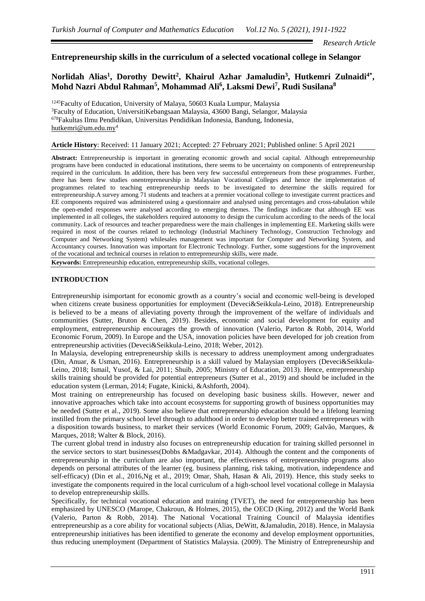*Research Article*

## **Entrepreneurship skills in the curriculum of a selected vocational college in Selangor**

# Norlidah Alias<sup>1</sup>, Dorothy Dewitt<sup>2</sup>, Khairul Azhar Jamaludin<sup>3</sup>, Hutkemri Zulnaidi<sup>4\*</sup>, **Mohd Nazri Abdul Rahman<sup>5</sup> , Mohammad Ali<sup>6</sup> , Laksmi Dewi<sup>7</sup> , Rudi Susilana<sup>8</sup>**

<sup>1245</sup>Faculty of Education, University of Malaya, 50603 Kuala Lumpur, Malaysia <sup>3</sup>Faculty of Education, UniversitiKebangsaan Malaysia, 43600 Bangi, Selangor, Malaysia <sup>678</sup>Fakultas Ilmu Pendidikan, Universitas Pendidikan Indonesia, Bandung, Indonesia, [hutkemri@um.edu.my](mailto:hutkemri@um.edu.my)<sup>4</sup>

#### **Article History**: Received: 11 January 2021; Accepted: 27 February 2021; Published online: 5 April 2021

**Abstract:** Entrepreneurship is important in generating economic growth and social capital. Although entrepreneurship programs have been conducted in educational institutions, there seems to be uncertainty on components of entrepreneurship required in the curriculum. In addition, there has been very few successful entrepreneurs from these programmes. Further, there has been few studies onentrepreneurship in Malaysian Vocational Colleges and hence the implementation of programmes related to teaching entrepreneurship needs to be investigated to determine the skills required for entrepreneurship.A survey among 71 students and teachers at a premier vocational college to investigate current practices and EE components required was administered using a questionnaire and analysed using percentages and cross-tabulation while the open-ended responses were analysed according to emerging themes. The findings indicate that although EE was implemented in all colleges, the stakeholders required autonomy to design the curriculum according to the needs of the local community. Lack of resources and teacher preparedness were the main challenges in implementing EE. Marketing skills were required in most of the courses related to technology (Industrial Machinery Technology, Construction Technology and Computer and Networking System) whilesales management was important for Computer and Networking System, and Accountancy courses. Innovation was important for Electronic Technology. Further, some suggestions for the improvement of the vocational and technical courses in relation to entrepreneurship skills, were made.

**Keywords:** Entrepreneurship education, entrepreneurship skills, vocational colleges.

## **INTRODUCTION**

Entrepreneurship isimportant for economic growth as a country's social and economic well-being is developed when citizens create business opportunities for employment (Deveci&Seikkula-Leino, 2018). Entrepreneurship is believed to be a means of alleviating poverty through the improvement of the welfare of individuals and communities (Sutter, Bruton & Chen, 2019). Besides, economic and social development for equity and employment, entrepreneurship encourages the growth of innovation (Valerio, Parton & Robb, 2014, World Economic Forum, 2009). In Europe and the USA, innovation policies have been developed for job creation from entrepreneurship activities (Deveci&Seikkula-Leino, 2018; Weber, 2012).

In Malaysia, developing entrepreneurship skills is necessary to address unemployment among undergraduates (Din, Anuar, & Usman, 2016). Entrepreneurship is a skill valued by Malaysian employers (Deveci&Seikkula-Leino, 2018; Ismail, Yusof, & Lai, 2011; Shuib, 2005; Ministry of Education, 2013). Hence, entrepreneurship skills training should be provided for potential entrepreneurs (Sutter et al., 2019) and should be included in the education system (Lerman, 2014; Fugate, Kinicki, &Ashforth, 2004).

Most training on entrepreneurship has focused on developing basic business skills. However, newer and innovative approaches which take into account ecosystems for supporting growth of business opportunities may be needed (Sutter et al., 2019). Some also believe that entrepreneurship education should be a lifelong learning instilled from the primary school level through to adulthood in order to develop better trained entrepreneurs with a disposition towards business, to market their services (World Economic Forum, 2009; Galvão, Marques, & Marques, 2018; Walter & Block, 2016).

The current global trend in industry also focuses on entrepreneurship education for training skilled personnel in the service sectors to start businesses(Dobbs &Madgavkar, 2014). Although the content and the components of entrepreneurship in the curriculum are also important, the effectiveness of entrepreneurship programs also depends on personal attributes of the learner (eg. business planning, risk taking, motivation, independence and self-efficacy) (Din et al., 2016,Ng et al., 2019; Omar, Shah, Hasan & Ali, 2019). Hence, this study seeks to investigate the components required in the local curriculum of a high-school level vocational college in Malaysia to develop entrepreneurship skills.

Specifically, for technical vocational education and training (TVET), the need for entrepreneurship has been emphasized by UNESCO (Marope, Chakroun, & Holmes, 2015), the OECD (King, 2012) and the World Bank (Valerio, Parton & Robb, 2014). The National Vocational Training Council of Malaysia identifies entrepreneurship as a core ability for vocational subjects (Alias, DeWitt, &Jamaludin, 2018). Hence, in Malaysia entrepreneurship initiatives has been identified to generate the economy and develop employment opportunities, thus reducing unemployment (Department of Statistics Malaysia. (2009). The Ministry of Entrepreneurship and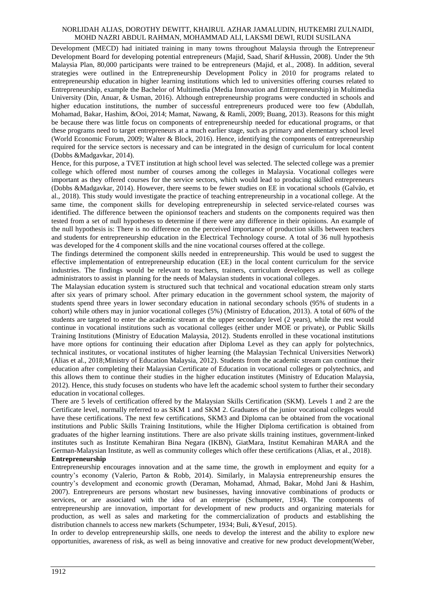Development (MECD) had initiated training in many towns throughout Malaysia through the Entrepreneur Development Board for developing potential entrepreneurs (Majid, Saad, Sharif &Hussin, 2008). Under the 9th Malaysia Plan, 80,000 participants were trained to be entrepreneurs (Majid, et al., 2008). In addition, several strategies were outlined in the Entrepreneurship Development Policy in 2010 for programs related to entrepreneurship education in higher learning institutions which led to universities offering courses related to Entrepreneurship, example the Bachelor of Multimedia (Media Innovation and Entrepreneurship) in Multimedia University (Din, Anuar, & Usman, 2016). Although entrepreneurship programs were conducted in schools and higher education institutions, the number of successful entrepreneurs produced were too few (Abdullah, Mohamad, Bakar, Hashim, &Ooi, 2014; Mamat, Nawang, & Ramli, 2009; Buang, 2013). Reasons for this might be because there was little focus on components of entrepreneurship needed for educational programs, or that these programs need to target entrepreneurs at a much earlier stage, such as primary and elementary school level (World Economic Forum, 2009; Walter & Block, 2016). Hence, identifying the components of entrepreneurship required for the service sectors is necessary and can be integrated in the design of curriculum for local content (Dobbs &Madgavkar, 2014).

Hence, for this purpose, a TVET institution at high school level was selected. The selected college was a premier college which offered most number of courses among the colleges in Malaysia. Vocational colleges were important as they offered courses for the service sectors, which would lead to producing skilled entrepreneurs (Dobbs &Madgavkar, 2014). However, there seems to be fewer studies on EE in vocational schools (Galvão, et al., 2018). This study would investigate the practice of teaching entrepreneurship in a vocational college. At the same time, the component skills for developing entrepreneurship in selected service-related courses was identified. The difference between the opinionsof teachers and students on the components required was then tested from a set of null hypotheses to determine if there were any difference in their opinions. An example of the null hypothesis is: There is no difference on the perceived importance of production skills between teachers and students for entrepreneurship education in the Electrical Technology course. A total of 36 null hypothesis was developed for the 4 component skills and the nine vocational courses offered at the college.

The findings determined the component skills needed in entrepreneurship. This would be used to suggest the effective implementation of entrepreneurship education (EE) in the local content curriculum for the service industries. The findings would be relevant to teachers, trainers, curriculum developers as well as college administrators to assist in planning for the needs of Malaysian students in vocational colleges.

The Malaysian education system is structured such that technical and vocational education stream only starts after six years of primary school. After primary education in the government school system, the majority of students spend three years in lower secondary education in national secondary schools (95% of students in a cohort) while others may in junior vocational colleges (5%) (Ministry of Education, 2013). A total of 60% of the students are targeted to enter the academic stream at the upper secondary level (2 years), while the rest would continue in vocational institutions such as vocational colleges (either under MOE or private), or Public Skills Training Institutions (Ministry of Education Malaysia, 2012). Students enrolled in these vocational institutions have more options for continuing their education after Diploma Level as they can apply for polytechnics, technical institutes, or vocational institutes of higher learning (the Malaysian Technical Universities Network) (Alias et al., 2018;Ministry of Education Malaysia, 2012). Students from the academic stream can continue their education after completing their Malaysian Certificate of Education in vocational colleges or polytechnics, and this allows them to continue their studies in the higher education institutes (Ministry of Education Malaysia, 2012). Hence, this study focuses on students who have left the academic school system to further their secondary education in vocational colleges.

There are 5 levels of certification offered by the Malaysian Skills Certification (SKM). Levels 1 and 2 are the Certificate level, normally referred to as SKM 1 and SKM 2. Graduates of the junior vocational colleges would have these certifications. The next few certifications, SKM3 and Diploma can be obtained from the vocational institutions and Public Skills Training Institutions, while the Higher Diploma certification is obtained from graduates of the higher learning institutions. There are also private skills training institues, government-linked institutes such as Institute Kemahiran Bina Negara (IKBN), GiatMara, Institut Kemahiran MARA and the German-Malaysian Institute, as well as community colleges which offer these certifications (Alias, et al., 2018). **Entrepreneurship** 

Entrepreneurship encourages innovation and at the same time, the growth in employment and equity for a country's economy (Valerio, Parton & Robb, 2014). Similarly, in Malaysia entrepreneurship ensures the country's development and economic growth (Deraman, Mohamad, Ahmad, Bakar, Mohd Jani & Hashim, 2007). Entrepreneurs are persons whostart new businesses, having innovative combinations of products or services, or are associated with the idea of an enterprise (Schumpeter, 1934). The components of entrepreneurship are innovation, important for development of new products and organizing materials for production, as well as sales and marketing for the commercialization of products and establishing the distribution channels to access new markets (Schumpeter, 1934; Buli, &Yesuf, 2015).

In order to develop entrepreneurship skills, one needs to develop the interest and the ability to explore new opportunities, awareness of risk, as well as being innovative and creative for new product development(Weber,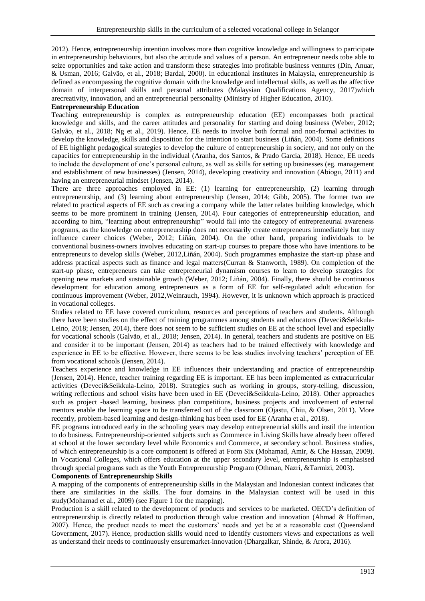2012). Hence, entrepreneurship intention involves more than cognitive knowledge and willingness to participate in entrepreneurship behaviours, but also the attitude and values of a person. An entrepreneur needs tobe able to seize opportunities and take action and transform these strategies into profitable business ventures (Din, Anuar, & Usman, 2016; Galvão, et al., 2018; Bardai, 2000). In educational institutes in Malaysia, entrepreneurship is defined as encompassing the cognitive domain with the knowledge and intellectual skills, as well as the affective domain of interpersonal skills and personal attributes (Malaysian Qualifications Agency, 2017)which arecreativity, innovation, and an entrepreneurial personality (Ministry of Higher Education, 2010).

### **Entrepreneurship Education**

Teaching entrepreneurship is complex as entrepreneurship education (EE) encompasses both practical knowledge and skills, and the career attitudes and personality for starting and doing business (Weber, 2012; Galvão, et al., 2018; Ng et al., 2019). Hence, EE needs to involve both formal and non-formal activities to develop the knowledge, skills and disposition for the intention to start business (Liñán, 2004). Some definitions of EE highlight pedagogical strategies to develop the culture of entrepreneurship in society, and not only on the capacities for entrepreneurship in the individual (Aranha, dos Santos, & Prado Garcia, 2018). Hence, EE needs to include the development of one's personal culture, as well as skills for setting up businesses (eg. management and establishment of new businesses) (Jensen, 2014), developing creativity and innovation (Abiogu, 2011) and having an entrepreneurial mindset (Jensen, 2014).

There are three approaches employed in EE: (1) learning for entrepreneurship, (2) learning through entrepreneurship, and (3) learning about entrepreneurship (Jensen, 2014; Gibb, 2005). The former two are related to practical aspects of EE such as creating a company while the latter relates building knowledge, which seems to be more prominent in training (Jensen, 2014). Four categories of entrepreneurship education, and according to him, "learning about entrepreneurship" would fall into the category of entrepreneurial awareness programs, as the knowledge on entrepreneurship does not necessarily create entrepreneurs immediately but may influence career choices (Weber, 2012; Liñán, 2004). On the other hand, preparing individuals to be conventional business-owners involves educating on start-up courses to prepare those who have intentions to be entrepreneurs to develop skills (Weber, 2012,Liñán, 2004). Such programmes emphasize the start-up phase and address practical aspects such as finance and legal matters(Curran & Stanworth, 1989). On completion of the start-up phase, entrepreneurs can take entrepreneurial dynamism courses to learn to develop strategies for opening new markets and sustainable growth (Weber, 2012; Liñán, 2004). Finally, there should be continuous development for education among entrepreneurs as a form of EE for self-regulated adult education for continuous improvement (Weber, 2012,Weinrauch, 1994). However, it is unknown which approach is practiced in vocational colleges.

Studies related to EE have covered curriculum, resources and perceptions of teachers and students. Although there have been studies on the effect of training programmes among students and educators (Deveci&Seikkula-Leino, 2018; Jensen, 2014), there does not seem to be sufficient studies on EE at the school level and especially for vocational schools (Galvão, et al., 2018; Jensen, 2014). In general, teachers and students are positive on EE and consider it to be important (Jensen, 2014) as teachers had to be trained effectively with knowledge and experience in EE to be effective. However, there seems to be less studies involving teachers' perception of EE from vocational schools (Jensen, 2014).

Teachers experience and knowledge in EE influences their understanding and practice of entrepreneurship (Jensen, 2014). Hence, teacher training regarding EE is important. EE has been implemented as extracurricular activities (Deveci&Seikkula-Leino, 2018). Strategies such as working in groups, story-telling, discussion, writing reflections and school visits have been used in EE (Deveci&Seikkula-Leino, 2018). Other approaches such as project -based learning, business plan competitions, business projects and involvement of external mentors enable the learning space to be transferred out of the classroom (Ojastu, Chiu, & Olsen, 2011). More recently, problem-based learning and design-thinking has been used for EE (Aranha et al., 2018).

EE programs introduced early in the schooling years may develop entrepreneurial skills and instil the intention to do business. Entrepreneurship-oriented subjects such as Commerce in Living Skills have already been offered at school at the lower secondary level while Economics and Commerce, at secondary school. Business studies, of which entrepreneurship is a core component is offered at Form Six (Mohamad, Amir, & Che Hassan, 2009). In Vocational Colleges, which offers education at the upper secondary level, entrepreneurship is emphasised through special programs such as the Youth Entrepreneurship Program (Othman, Nazri, &Tarmizi, 2003). **Components of Entrepreneurship Skills**

A mapping of the components of entrepreneurship skills in the Malaysian and Indonesian context indicates that there are similarities in the skills. The four domains in the Malaysian context will be used in this study(Mohamad et al., 2009) (see Figure 1 for the mapping).

Production is a skill related to the development of products and services to be marketed. OECD's definition of entrepreneurship is directly related to production through value creation and innovation (Ahmad & Hoffman, 2007). Hence, the product needs to meet the customers' needs and yet be at a reasonable cost (Queensland Government, 2017). Hence, production skills would need to identify customers views and expectations as well as understand their needs to continuously ensuremarket-innovation (Dhargalkar, Shinde, & Arora, 2016).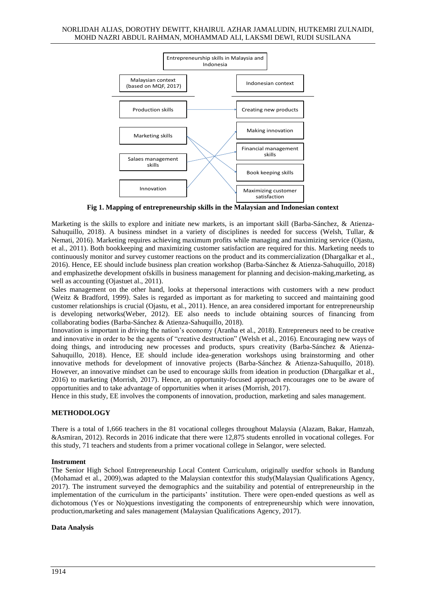

**Fig 1. Mapping of entrepreneurship skills in the Malaysian and Indonesian context**

Marketing is the skills to explore and initiate new markets, is an important skill (Barba-Sánchez, & Atienza-Sahuquillo, 2018). A business mindset in a variety of disciplines is needed for success (Welsh, Tullar, & Nemati, 2016). Marketing requires achieving maximum profits while managing and maximizing service (Ojastu, et al., 2011). Both bookkeeping and maximizing customer satisfaction are required for this. Marketing needs to continuously monitor and survey customer reactions on the product and its commercialization (Dhargalkar et al., 2016). Hence, EE should include business plan creation workshop (Barba-Sánchez & Atienza-Sahuquillo, 2018) and emphasizethe development ofskills in business management for planning and decision-making,marketing, as well as accounting (Ojastuet al., 2011).

Sales management on the other hand, looks at thepersonal interactions with customers with a new product (Weitz & Bradford, 1999). Sales is regarded as important as for marketing to succeed and maintaining good customer relationships is crucial (Ojastu, et al., 2011). Hence, an area considered important for entrepreneurship is developing networks(Weber, 2012). EE also needs to include obtaining sources of financing from collaborating bodies (Barba-Sánchez & Atienza-Sahuquillo, 2018).

Innovation is important in driving the nation's economy (Aranha et al., 2018). Entrepreneurs need to be creative and innovative in order to be the agents of "creative destruction" (Welsh et al., 2016). Encouraging new ways of doing things, and introducing new processes and products, spurs creativity (Barba-Sánchez & Atienza-Sahuquillo, 2018). Hence, EE should include idea-generation workshops using brainstorming and other innovative methods for development of innovative projects (Barba-Sánchez & Atienza-Sahuquillo, 2018). However, an innovative mindset can be used to encourage skills from ideation in production (Dhargalkar et al., 2016) to marketing (Morrish, 2017). Hence, an opportunity-focused approach encourages one to be aware of opportunities and to take advantage of opportunities when it arises (Morrish, 2017).

Hence in this study, EE involves the components of innovation, production, marketing and sales management.

### **METHODOLOGY**

There is a total of 1,666 teachers in the 81 vocational colleges throughout Malaysia (Alazam, Bakar, Hamzah, &Asmiran, 2012). Records in 2016 indicate that there were 12,875 students enrolled in vocational colleges. For this study, 71 teachers and students from a primer vocational college in Selangor, were selected.

### **Instrument**

The Senior High School Entrepreneurship Local Content Curriculum, originally usedfor schools in Bandung (Mohamad et al., 2009),was adapted to the Malaysian contextfor this study(Malaysian Qualifications Agency, 2017). The instrument surveyed the demographics and the suitability and potential of entrepreneurship in the implementation of the curriculum in the participants' institution. There were open-ended questions as well as dichotomous (Yes or No)questions investigating the components of entrepreneurship which were innovation, production,marketing and sales management (Malaysian Qualifications Agency, 2017).

#### **Data Analysis**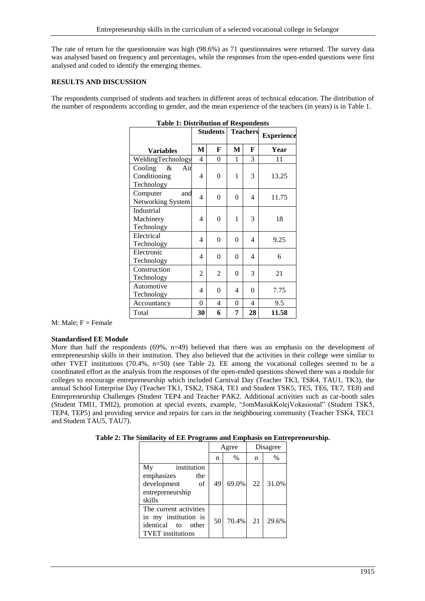The rate of return for the questionnaire was high (98.6%) as 71 questionnaires were returned. The survey data was analysed based on frequency and percentages, while the responses from the open-ended questions were first analysed and coded to identify the emerging themes.

## **RESULTS AND DISCUSSION**

The respondents comprised of students and teachers in different areas of technical education. The distribution of the number of respondents according to gender, and the mean experience of the teachers (in years) is in Table 1.

| <b>Table 1: Distribution of Respondents</b> |                |                                    |                |                            |       |  |  |  |
|---------------------------------------------|----------------|------------------------------------|----------------|----------------------------|-------|--|--|--|
|                                             |                | <b>Teachers</b><br><b>Students</b> |                | <b>Experience</b>          |       |  |  |  |
| <b>Variables</b>                            | M              | F                                  | M              | F                          | Year  |  |  |  |
| WeldingTechnology                           | $\overline{4}$ | $\overline{0}$                     | 1              | 3                          | 11    |  |  |  |
| Cooling<br>&<br>Air                         |                |                                    |                |                            |       |  |  |  |
| Conditioning                                | 4              | $\overline{0}$                     | 1              | 3                          | 13.25 |  |  |  |
| Technology                                  |                |                                    |                |                            |       |  |  |  |
| Computer<br>and                             | 4              | $\overline{0}$                     | $\theta$       | 4                          | 11.75 |  |  |  |
| Networking System                           |                |                                    |                |                            |       |  |  |  |
| Industrial                                  |                |                                    |                |                            |       |  |  |  |
| Machinery                                   | 4              | $\theta$                           | 1              | 3                          | 18    |  |  |  |
| Technology                                  |                |                                    |                |                            |       |  |  |  |
| Electrical                                  | 4              | $\theta$                           |                | $\theta$<br>$\overline{4}$ | 9.25  |  |  |  |
| Technology                                  |                |                                    |                |                            |       |  |  |  |
| Electronic                                  | 4              | 0                                  | 0              | $\overline{4}$             | 6     |  |  |  |
| Technology                                  |                |                                    |                |                            |       |  |  |  |
| Construction                                | $\overline{2}$ | 2                                  | $\theta$       | 3                          | 21    |  |  |  |
| Technology                                  |                |                                    |                |                            |       |  |  |  |
| Automotive                                  | 4              | $\overline{0}$                     | 4              | $\overline{0}$             | 7.75  |  |  |  |
| Technology                                  |                |                                    |                |                            |       |  |  |  |
| Accountancy                                 | $\overline{0}$ | 4                                  | $\overline{0}$ | 4                          | 9.5   |  |  |  |
| Total                                       | 30             | 6                                  | 7              | 28                         | 11.58 |  |  |  |

**Table 1: Distribution of Respondents** 

M: Male;  $F =$  Female

### **Standardised EE Module**

More than half the respondents  $(69\%, n=49)$  believed that there was an emphasis on the development of entrepreneurship skills in their institution. They also believed that the activities in their college were similar to other TVET institutions (70.4%, n=50) (see Table 2). EE among the vocational colleges seemed to be a coordinated effort as the analysis from the responses of the open-ended questions showed there was a module for colleges to encourage entrepreneurship which included Carnival Day (Teacher TK3, TSK4, TAU1, TK3), the annual School Enterprise Day (Teacher TK1, TSK2, TSK4, TE1 and Student TSK5, TE5, TE6, TE7, TE8) and Entrepreneurship Challenges (Student TEP4 and Teacher PAK2. Additional activities such as car-booth sales (Student TMI1, TMI2), promotion at special events, example, "JomMasukKolejVokasional" (Student TSK5, TEP4, TEP5) and providing service and repairs for cars in the neighbouring community (Teacher TSK4, TEC1 and Student TAU5, TAU7).

|  |  | Table 2: The Similarity of EE Programs and Emphasis on Entrepreneurship. |  |  |
|--|--|--------------------------------------------------------------------------|--|--|
|--|--|--------------------------------------------------------------------------|--|--|

|                                                                                                     | Agree |               | Disagree |       |
|-----------------------------------------------------------------------------------------------------|-------|---------------|----------|-------|
|                                                                                                     | n     | $\frac{0}{0}$ | n        | $\%$  |
| My<br>institution<br>emphasizes<br>the<br>development<br>οf<br>entrepreneurship<br>skills           | 49    | 69.0%         | 22       | 31.0% |
| The current activities<br>in my institution is<br>identical to<br>other<br><b>TVET</b> institutions | 50    | 70.4%         | 21       | 29.6% |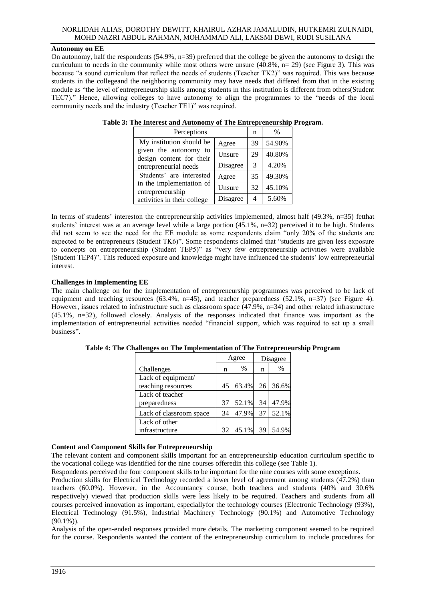## **Autonomy on EE**

On autonomy, half the respondents  $(54.9\%, n=39)$  preferred that the college be given the autonomy to design the curriculum to needs in the community while most others were unsure  $(40.8\%, n=29)$  (see Figure 3). This was because "a sound curriculum that reflect the needs of students (Teacher TK2)" was required. This was because students in the collegeand the neighboring community may have needs that differed from that in the existing module as "the level of entrepreneurship skills among students in this institution is different from others(Student TEC7)." Hence, allowing colleges to have autonomy to align the programmes to the "needs of the local community needs and the industry (Teacher TE1)" was required.

| Perceptions                                       |          |               | $\%$   |
|---------------------------------------------------|----------|---------------|--------|
| My institution should be                          | Agree    | 39            | 54.90% |
| given the autonomy to<br>design content for their | Unsure   | 29            | 40.80% |
| entrepreneurial needs                             | Disagree | $\mathcal{R}$ | 4.20%  |
| Students' are interested                          | Agree    | 35            | 49.30% |
| in the implementation of<br>entrepreneurship      | Unsure   | 32            | 45.10% |
| activities in their college                       | Disagree | 4             | 5.60%  |

| Table 3: The Interest and Autonomy of The Entrepreneurship Program. |  |  |  |
|---------------------------------------------------------------------|--|--|--|
|                                                                     |  |  |  |

In terms of students' intereston the entrepreneurship activities implemented, almost half (49.3%, n=35) fetthat students' interest was at an average level while a large portion (45.1%, n=32) perceived it to be high. Students did not seem to see the need for the EE module as some respondents claim "only 20% of the students are expected to be entrepreneurs (Student TK6)". Some respondents claimed that "students are given less exposure to concepts on entrepreneurship (Student TEP5)" as "very few entrepreneurship activities were available (Student TEP4)". This reduced exposure and knowledge might have influenced the students' low entrepreneurial interest.

## **Challenges in Implementing EE**

The main challenge on for the implementation of entrepreneurship programmes was perceived to be lack of equipment and teaching resources (63.4%, n=45), and teacher preparedness (52.1%, n=37) (see Figure 4). However, issues related to infrastructure such as classroom space (47.9%, n=34) and other related infrastructure (45.1%, n=32), followed closely. Analysis of the responses indicated that finance was important as the implementation of entrepreneurial activities needed "financial support, which was required to set up a small business".

|                         |    | Agree | Disagree        |       |
|-------------------------|----|-------|-----------------|-------|
| Challenges              | n  | $\%$  | n               | $\%$  |
| Lack of equipment/      |    |       |                 |       |
| teaching resources      | 45 | 63.4% | 26 <sup>1</sup> | 36.6% |
| Lack of teacher         |    |       |                 |       |
| preparedness            | 37 | 52.1% | 34              | 47.9% |
| Lack of classroom space | 34 | 47.9% | 37              | 52.1% |
| Lack of other           |    |       |                 |       |
| infrastructure          | 32 | 45.1% | 39              | 54.9% |

**Table 4: The Challenges on The Implementation of The Entrepreneurship Program**

### **Content and Component Skills for Entrepreneurship**

The relevant content and component skills important for an entrepreneurship education curriculum specific to the vocational college was identified for the nine courses offeredin this college (see Table 1).

Respondents perceived the four component skills to be important for the nine courses with some exceptions.

Production skills for Electrical Technology recorded a lower level of agreement among students (47.2%) than teachers (60.0%). However, in the Accountancy course, both teachers and students (40% and 30.6% respectively) viewed that production skills were less likely to be required. Teachers and students from all courses perceived innovation as important, especiallyfor the technology courses (Electronic Technology (93%), Electrical Technology (91.5%), Industrial Machinery Technology (90.1%) and Automotive Technology  $(90.1\%)$ .

Analysis of the open-ended responses provided more details. The marketing component seemed to be required for the course. Respondents wanted the content of the entrepreneurship curriculum to include procedures for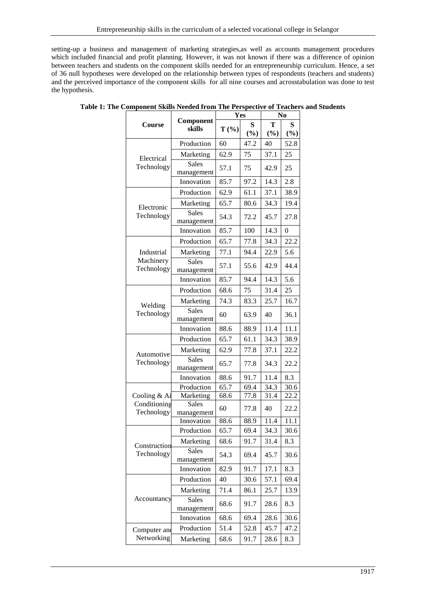setting-up a business and management of marketing strategies,as well as accounts management procedures which included financial and profit planning. However, it was not known if there was a difference of opinion between teachers and students on the component skills needed for an entrepreneurship curriculum. Hence, a set of 36 null hypotheses were developed on the relationship between types of respondents (teachers and students) and the perceived importance of the component skills for all nine courses and acrosstabulation was done to test the hypothesis.

|                              |                            | Yes          |              | N <sub>0</sub> |              |
|------------------------------|----------------------------|--------------|--------------|----------------|--------------|
| Course                       | Component<br>skills        | $T(\% )$     | S<br>(%)     | т<br>(%)       | S<br>(%)     |
|                              | Production                 | 60           | 47.2         | 40             | 52.8         |
| Electrical                   | Marketing                  | 62.9         | 75           | 37.1           | 25           |
| Technology                   | <b>Sales</b><br>management | 57.1         | 75           | 42.9           | 25           |
|                              | Innovation                 | 85.7         | 97.2         | 14.3           | 2.8          |
|                              | Production                 | 62.9         | 61.1         | 37.1           | 38.9         |
| Electronic                   | Marketing                  | 65.7         | 80.6         | 34.3           | 19.4         |
| Technology                   | <b>Sales</b><br>management | 54.3         | 72.2         | 45.7           | 27.8         |
|                              | Innovation                 | 85.7         | 100          | 14.3           | $\theta$     |
|                              | Production                 | 65.7         | 77.8         | 34.3           | 22.2         |
| Industrial                   | Marketing                  | 77.1         | 94.4         | 22.9           | 5.6          |
| Machinery<br>Technology      | <b>Sales</b><br>management | 57.1         | 55.6         | 42.9           | 44.4         |
|                              | Innovation                 | 85.7         | 94.4         | 14.3           | 5.6          |
|                              | Production                 | 68.6         | 75           | 31.4           | 25           |
|                              | Marketing                  | 74.3         | 83.3         | 25.7           | 16.7         |
| Welding<br>Technology        | <b>Sales</b><br>management | 60           | 63.9         | 40             | 36.1         |
|                              | Innovation                 | 88.6         | 88.9         | 11.4           | 11.1         |
|                              | Production                 | 65.7         | 61.1         | 34.3           | 38.9         |
| Automotive                   | Marketing                  | 62.9         | 77.8         | 37.1           | 22.2         |
| Technology                   | <b>Sales</b><br>management | 65.7         | 77.8         | 34.3           | 22.2         |
|                              | Innovation                 | 88.6         | 91.7         | 11.4           | 8.3          |
|                              | Production                 | 65.7         | 69.4         | 34.3           | 30.6         |
| Cooling & Ai<br>Conditioning | Marketing<br><b>Sales</b>  | 68.6<br>60   | 77.8<br>77.8 | 31.4<br>40     | 22.2<br>22.2 |
| Technology                   | management                 |              |              |                |              |
|                              | Innovation                 | 88.6<br>65.7 | 88.9<br>69.4 | 11.4<br>34.3   | 11.1<br>30.6 |
|                              | Production                 |              |              |                |              |
| Construction                 | Marketing<br><b>Sales</b>  | 68.6         | 91.7         | 31.4           | 8.3          |
| Technology                   | management                 | 54.3         | 69.4         | 45.7           | 30.6         |
|                              | Innovation                 | 82.9         | 91.7         | 17.1           | 8.3          |
|                              | Production                 | 40           | 30.6         | 57.1           | 69.4         |
|                              | Marketing                  | 71.4         | 86.1         | 25.7           | 13.9         |
| Accountancy                  | Sales<br>management        | 68.6         | 91.7         | 28.6           | 8.3          |
|                              | Innovation                 | 68.6         | 69.4         | 28.6           | 30.6         |
| Computer and                 | Production                 | 51.4         | 52.8         | 45.7           | 47.2         |
| Networking                   | Marketing                  | 68.6         | 91.7         | 28.6           | 8.3          |

**Table 1: The Component Skills Needed from The Perspective of Teachers and Students**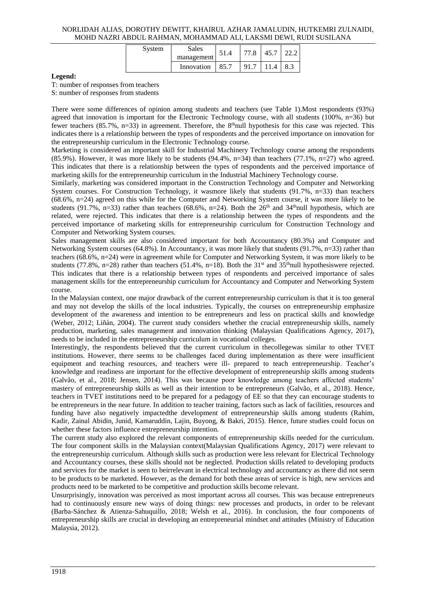| System | Sales<br>management | 51.4 | 77.8 | 45.7 |     |
|--------|---------------------|------|------|------|-----|
|        | Innovation          | 85.7 | 91.7 | 11.4 | 8.3 |

## **Legend:**

T: number of responses from teachers

S: number of responses from students

There were some differences of opinion among students and teachers (see Table 1).Most respondents (93%) agreed that innovation is important for the Electronic Technology course, with all students (100%, n=36) but fewer teachers (85.7%, n=33) in agreement. Therefore, the  $8<sup>th</sup>$ null hypothesis for this case was rejected. This indicates there is a relationship between the types of respondents and the perceived importance on innovation for the entrepreneurship curriculum in the Electronic Technology course.

Marketing is considered an important skill for Industrial Machinery Technology course among the respondents (85.9%). However, it was more likely to be students (94.4%,  $n=34$ ) than teachers (77.1%,  $n=27$ ) who agreed. This indicates that there is a relationship between the types of respondents and the perceived importance of marketing skills for the entrepreneurship curriculum in the Industrial Machinery Technology course.

Similarly, marketing was considered important in the Construction Technology and Computer and Networking System courses. For Construction Technology, it wasmore likely that students (91.7%, n=33) than teachers (68.6%, n=24) agreed on this while for the Computer and Networking System course, it was more likely to be students (91.7%, n=33) rather than teachers (68.6%, n=24). Both the  $26<sup>th</sup>$  and 34<sup>th</sup>null hypothesis, which are related, were rejected. This indicates that there is a relationship between the types of respondents and the perceived importance of marketing skills for entrepreneurship curriculum for Construction Technology and Computer and Networking System courses.

Sales management skills are also considered important for both Accountancy (80.3%) and Computer and Networking System courses (64.8%). In Accountancy, it was more likely that students (91.7%, n=33) rather than teachers (68.6%, n=24) were in agreement while for Computer and Networking System, it was more likely to be students (77.8%,  $n=28$ ) rather than teachers (51.4%,  $n=18$ ). Both the 31<sup>st</sup> and 35<sup>th</sup>null hypothesiswere rejected. This indicates that there is a relationship between types of respondents and perceived importance of sales management skills for the entrepreneurship curriculum for Accountancy and Computer and Networking System course.

In the Malaysian context, one major drawback of the current entrepreneurship curriculum is that it is too general and may not develop the skills of the local industries. Typically, the courses on entrepreneurship emphasize development of the awareness and intention to be entrepreneurs and less on practical skills and knowledge (Weber, 2012; Liñán, 2004). The current study considers whether the crucial entrepreneurship skills, namely production, marketing, sales management and innovation thinking (Malaysian Qualifications Agency, 2017), needs to be included in the entrepreneurship curriculum in vocational colleges.

Interestingly, the respondents believed that the current curriculum in thecollegewas similar to other TVET institutions. However, there seems to be challenges faced during implementation as there were insufficient equipment and teaching resources, and teachers were ill- prepared to teach entrepreneurship. Teacher's knowledge and readiness are important for the effective development of entrepreneurship skills among students (Galvão, et al., 2018; Jensen, 2014). This was because poor knowledge among teachers affected students' mastery of entrepreneurship skills as well as their intention to be entrepreneurs (Galvão, et al., 2018). Hence, teachers in TVET institutions need to be prepared for a pedagogy of EE so that they can encourage students to be entrepreneurs in the near future. In addition to teacher training, factors such as lack of facilities, resources and funding have also negatively impactedthe development of entrepreneurship skills among students (Rahim, Kadir, Zainal Abidin, Junid, Kamaruddin, Lajin, Buyong, & Bakri, 2015). Hence, future studies could focus on whether these factors influence entrepreneurship intention.

The current study also explored the relevant components of entrepreneurship skills needed for the curriculum. The four component skills in the Malaysian context(Malaysian Qualifications Agency, 2017) were relevant to the entrepreneurship curriculum. Although skills such as production were less relevant for Electrical Technology and Accountancy courses, these skills should not be neglected. Production skills related to developing products and services for the market is seen to beirrelevant in electrical technology and accountancy as there did not seem to be products to be marketed. However, as the demand for both these areas of service is high, new services and products need to be marketed to be competitive and production skills become relevant.

Unsurprisingly, innovation was perceived as most important across all courses. This was because entrepreneurs had to continuously ensure new ways of doing things: new processes and products, in order to be relevant (Barba-Sánchez & Atienza-Sahuquillo, 2018; Welsh et al., 2016). In conclusion, the four components of entrepreneurship skills are crucial in developing an entrepreneurial mindset and attitudes (Ministry of Education Malaysia, 2012).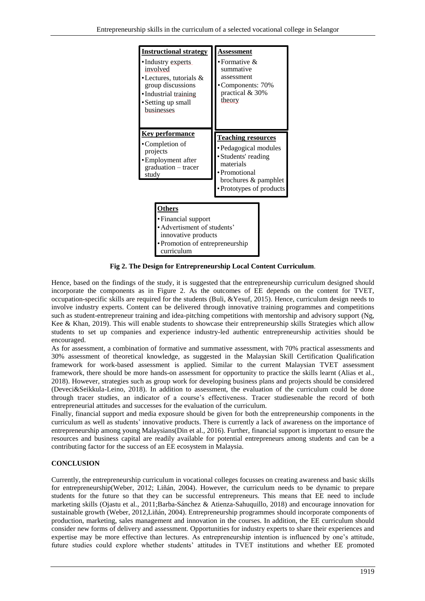

**Fig 2. The Design for Entrepreneurship Local Content Curriculum**.

Hence, based on the findings of the study, it is suggested that the entrepreneurship curriculum designed should incorporate the components as in Figure 2. As the outcomes of EE depends on the content for TVET, occupation-specific skills are required for the students (Buli, &Yesuf, 2015). Hence, curriculum design needs to involve industry experts. Content can be delivered through innovative training programmes and competitions such as student-entrepreneur training and idea-pitching competitions with mentorship and advisory support (Ng, Kee & Khan, 2019). This will enable students to showcase their entrepreneurship skills Strategies which allow students to set up companies and experience industry-led authentic entrepreneurship activities should be encouraged.

As for assessment, a combination of formative and summative assessment, with 70% practical assessments and 30% assessment of theoretical knowledge, as suggested in the Malaysian Skill Certification Qualification framework for work-based assessment is applied. Similar to the current Malaysian TVET assessment framework, there should be more hands-on assessment for opportunity to practice the skills learnt (Alias et al., 2018). However, strategies such as group work for developing business plans and projects should be considered (Deveci&Seikkula-Leino, 2018). In addition to assessment, the evaluation of the curriculum could be done through tracer studies, an indicator of a course's effectiveness. Tracer studiesenable the record of both entrepreneurial attitudes and successes for the evaluation of the curriculum.

Finally, financial support and media exposure should be given for both the entrepreneurship components in the curriculum as well as students' innovative products. There is currently a lack of awareness on the importance of entrepreneurship among young Malaysians(Din et al., 2016). Further, financial support is important to ensure the resources and business capital are readily available for potential entrepreneurs among students and can be a contributing factor for the success of an EE ecosystem in Malaysia.

## **CONCLUSION**

Currently, the entrepreneurship curriculum in vocational colleges focusses on creating awareness and basic skills for entrepreneurship(Weber, 2012; Liñán, 2004). However, the curriculum needs to be dynamic to prepare students for the future so that they can be successful entrepreneurs. This means that EE need to include marketing skills (Ojastu et al., 2011;Barba-Sánchez & Atienza-Sahuquillo, 2018) and encourage innovation for sustainable growth (Weber, 2012,Liñán, 2004). Entrepreneurship programmes should incorporate components of production, marketing, sales management and innovation in the courses. In addition, the EE curriculum should consider new forms of delivery and assessment. Opportunities for industry experts to share their experiences and expertise may be more effective than lectures. As entrepreneurship intention is influenced by one's attitude, future studies could explore whether students' attitudes in TVET institutions and whether EE promoted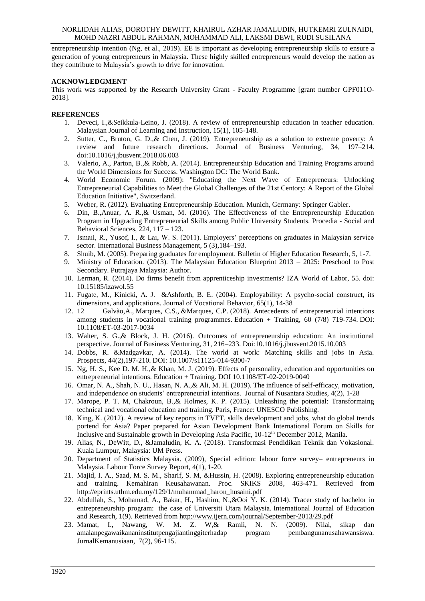entrepreneurship intention (Ng, et al., 2019). EE is important as developing entrepreneurship skills to ensure a generation of young entrepreneurs in Malaysia. These highly skilled entrepreneurs would develop the nation as they contribute to Malaysia's growth to drive for innovation.

## **ACKNOWLEDGMENT**

This work was supported by the Research University Grant - Faculty Programme [grant number GPF011O-2018].

## **REFERENCES**

- 1. Deveci, I.,&Seikkula-Leino, J. (2018). A review of entrepreneurship education in teacher education. Malaysian Journal of Learning and Instruction, 15(1), 105-148.
- 2. Sutter, C., Bruton, G. D.,& Chen, J. (2019). Entrepreneurship as a solution to extreme poverty: A review and future research directions. Journal of Business Venturing, 34, 197–214. [doi:10.1016/j.jbusvent.2018.06.003](https://doi.org/10.1016/j.jbusvent.2018.06.003)
- 3. Valerio, A., Parton, B.,& Robb, A. (2014). Entrepreneurship Education and Training Programs around the World Dimensions for Success. Washington DC: The World Bank.
- 4. World Economic Forum. (2009): "Educating the Next Wave of Entrepreneurs: Unlocking Entrepreneurial Capabilities to Meet the Global Challenges of the 21st Centory: A Report of the Global Education Initiative", Switzerland.
- 5. Weber, R. (2012). Evaluating Entrepreneurship Education. Munich, Germany: Springer Gabler.
- 6. Din, B.,Anuar, A. R.,& Usman, M. (2016). The Effectiveness of the Entrepreneurship Education Program in Upgrading Entrepreneurial Skills among Public University Students. Procedia - Social and Behavioral Sciences, 224, 117 – 123.
- 7. Ismail, R., Yusof, I., & Lai, W. S. (2011). Employers' perceptions on graduates in Malaysian service sector. International Business Management, 5 (3), 184–193.
- 8. Shuib, M. (2005). Preparing graduates for employment. Bulletin of Higher Education Research, 5, 1-7.
- 9. Ministry of Education. (2013). The Malaysian Education Blueprint 2013 2025: Preschool to Post Secondary. Putrajaya Malaysia: Author.
- 10. Lerman, R. (2014). Do firms benefit from apprenticeship investments? IZA World of Labor, 55. doi: 10.15185/izawol.55
- 11. Fugate, M., Kinicki, A. J. &Ashforth, B. E. (2004). Employability: A psycho-social construct, its dimensions, and applications. [Journal of Vocational Behavior,](https://www.sciencedirect.com/science/journal/00018791) 65(1), 14-38
- 12. 12 [Galvão,A.,](https://www.emerald.com/insight/search?q=Anderson%20Galv%C3%A3o) [Marques, C.S.,](https://www.emerald.com/insight/search?q=Carla%20Susana%20Marques) [&Marques, C.P.](https://www.emerald.com/insight/search?q=Carlos%20Peixeira%20Marques) (2018). Antecedents of entrepreneurial intentions among students in vocational training programmes. [Education + Training,](https://www.emerald.com/insight/publication/issn/0040-0912) 60 (7/8) 719-734. [DOI:](https://doi.org/10.1108/ET-03-2017-0034)  [10.1108/ET-03-2017-0034](https://doi.org/10.1108/ET-03-2017-0034)
- 13. Walter, S. G.,& Block, J. H. (2016). Outcomes of entrepreneurship education: An institutional perspective. Journal of Business Venturing, 31, 216–233. Doi:10.1016/j.jbusvent.2015.10.003
- 14. Dobbs, R. &Madgavkar, A. (2014). The world at work: Matching skills and jobs in Asia. Prospects, 44(2),197-210. DOI: 10.1007/s11125-014-9300-7
- 15. Ng, H. S., Kee D. M. H.,& Khan, M. J. (2019). Effects of personality, education and opportunities on entrepreneurial intentions. Education + Training. DOI 10.1108/ET-02-2019-0040
- 16. Omar, N. A., Shah, N. U., Hasan, N. A.,& Ali, M. H. (2019). The influence of self-efficacy, motivation, and independence on students' entrepreneurial intentions. Journal of Nusantara Studies, 4(2), 1-28
- 17. Marope, P. T. M, Chakroun, B.,& Holmes, K. P. (2015). Unleashing the potential: Transformaing technical and vocational education and training. Paris, France: UNESCO Publishing.
- 18. King, K. (2012). A review of key reports in TVET, skills development and jobs, what do global trends portend for Asia? Paper prepared for Asian Development Bank International Forum on Skills for Inclusive and Sustainable growth in Developing Asia Pacific, 10-12th December 2012, Manila.
- 19. Alias, N., DeWitt, D., &Jamaludin, K. A. (2018). Transformasi Pendidikan Teknik dan Vokasional. Kuala Lumpur, Malaysia: UM Press.
- 20. Department of Statistics Malaysia. (2009), Special edition: labour force survey– entrepreneurs in Malaysia. Labour Force Survey Report, 4(1), 1-20.
- 21. Majid, I. A., Saad, M. S. M., Sharif, S. M, &Hussin, H. (2008). Exploring entrepreneurship education and training. Kemahiran Keusahawanan. Proc. SKIKS 2008, 463-471. Retrieved from [http://eprints.uthm.edu.my/129/1/muhammad\\_haron\\_husaini.pdf](http://eprints.uthm.edu.my/129/1/muhammad_haron_husaini.pdf)
- 22. Abdullah, S., Mohamad, A., Bakar, H., Hashim, N.,&Ooi Y. K. (2014). Tracer study of bachelor in entrepreneurship program: the case of Universiti Utara Malaysia. International Journal of Education and Research, 1(9). Retrieved fro[m http://www.ijern.com/journal/September-2013/29.pdf](http://www.ijern.com/journal/September-2013/29.pdf)
- 23. Mamat, I., Nawang, W. M. Z. W,& Ramli, N. N. (2009). Nilai, sikap dan amalanpegawaikananinstitutpengajiantinggiterhadap program pembangunanusahawansiswa. [JurnalKemanusiaan,](http://www.myjurnal.my/public/browse-journal-view.php?id=216) [7\(2\), 96-115.](http://www.myjurnal.my/public/issue-view.php?id=7741&journal_id=216)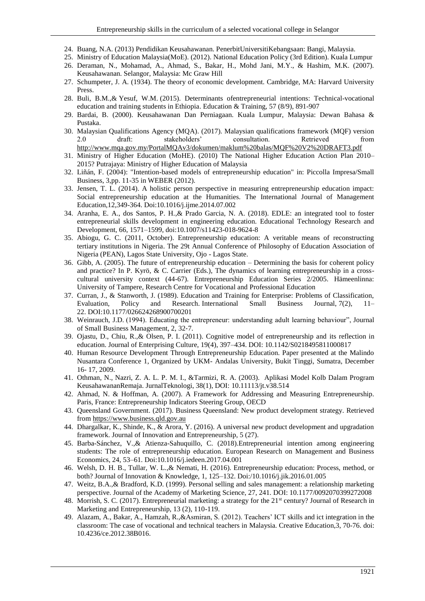- 24. Buang, N.A. (2013) Pendidikan Keusahawanan. PenerbitUniversitiKebangsaan: Bangi, Malaysia.
- 25. Ministry of Education Malaysia(MoE). (2012). National Education Policy (3rd Edition). Kuala Lumpur 26. Deraman, N., Mohamad, A., Ahmad, S., Bakar, H., Mohd Jani, M.Y., & Hashim, M.K. (2007).
- Keusahawanan. Selangor, Malaysia: Mc Graw Hill 27. Schumpeter, J. A. (1934). The theory of economic development. Cambridge, MA: Harvard University Press.
- 28. [Buli, B.M.,](https://www.emerald.com/insight/search?q=Bereket%20Mamo%20Buli)& [Yesuf, W.M.](https://www.emerald.com/insight/search?q=Wasihun%20%20Mohammed%20Yesuf) (2015). Determinants ofentrepreneurial intentions: Technical-vocational education and training students in Ethiopia. [Education &](https://www.emerald.com/insight/publication/issn/0040-0912) Training, 57 (8/9), 891-907
- 29. Bardai, B. (2000). Keusahawanan Dan Perniagaan. Kuala Lumpur, Malaysia: Dewan Bahasa & Pustaka.
- 30. Malaysian Qualifications Agency (MQA). (2017). Malaysian qualifications framework (MQF) version 2.0 draft: stakeholders' consultation. Retrieved from <http://www.mqa.gov.my/PortalMQAv3/dokumen/maklum%20balas/MQF%20V2%20DRAFT3.pdf>
- 31. Ministry of Higher Education (MoHE). (2010) The National Higher Education Action Plan 2010– 2015? Putrajaya: Ministry of Higher Education of Malaysia
- 32. Liñán, F. (2004): "Intention-based models of entrepreneurship education" in: Piccolla Impresa/Small Business, 3,pp. 11-35 in WEBER (2012).
- 33. Jensen, T. L. (2014). A holistic person perspective in measuring entrepreneurship education impact: Social entrepreneurship education at the Humanities. The International Journal of Management Education,12,349-364. Doi:10.1016/j.ijme.2014.07.002
- 34. Aranha, E. A., dos Santos, P. H.,& Prado Garcia, N. A. (2018). EDLE: an integrated tool to foster entrepreneurial skills development in engineering education. Educational Technology Research and Development, 66, 1571–1599, doi:10.1007/s11423-018-9624-8
- 35. Abiogu, G. C. (2011, October). Entrepreneurship education: A veritable means of reconstructing tertiary institutions in Nigeria. The 29t Annual Conference of Philosophy of Education Association of Nigeria (PEAN), Lagos State University, Ojo - Lagos State.
- 36. Gibb, A. (2005). The future of entrepreneurship education Determining the basis for coherent policy and practice? In P. Kyrö, & C. Carrier (Eds.), The dynamics of learning entrepreneurship in a crosscultural university context (44-67). Entrepreneurship Education Series 2/2005. Hämeenlinna: University of Tampere, Research Centre for Vocational and Professional Education
- 37. Curran, J., & Stanworth, J. (1989). Education and Training for Enterprise: Problems of Classification, Evaluation, Policy and Research. International Small Business Journal, 7(2), 11– 22. [DOI:10.1177/026624268900700201](https://doi.org/10.1177/026624268900700201)
- 38. Weinrauch, J.D. (1994). Educating the entrepreneur: understanding adult learning behaviour", Journal of Small Business Management, 2, 32‐7.
- 39. Ojastu, D., Chiu, R.,& Olsen, P. I. (2011). Cognitive model of entrepreneurship and its reflection in education. Journal of Enterprising Culture, 19(4), 397–434. DOI: 10.1142/S0218495811000817
- 40. Human Resource Development Through Entrepreneurship Education. Paper presented at the Malindo Nusantara Conference 1, Organized by UKM- Andalas University, Bukit Tinggi, Sumatra, December 16- 17, 2009.
- 41. Othman, N., Nazri, Z. A. L. P. M. I., &Tarmizi, R. A. (2003). Aplikasi Model Kolb Dalam Program KeusahawananRemaja. JurnalTeknologi, 38(1), DOI: 10.11113/jt.v38.514
- 42. Ahmad, N. & Hoffman, A. (2007). A Framework for Addressing and Measuring Entrepreneurship. Paris, France: Entrepreneurship Indicators Steering Group, OECD
- 43. Queensland Government. (2017). Business Queensland: New product development strategy. Retrieved from [https://www.business.qld.gov.au](https://www.business.qld.gov.au/)
- 44. Dhargalkar, K., Shinde, K., & Arora, Y. (2016). A universal new product development and upgradation framework. Journal of Innovation and Entrepreneurship, 5 (27).
- 45. Barba-Sánchez, V.,& Atienza-Sahuquillo, C. (2018).Entrepreneurial intention among engineering students: The role of entrepreneurship education. European Research on Management and Business Economics, 24, 53–61. Doi:10.1016/j.iedeen.2017.04.001
- 46. Welsh, D. H. B., Tullar, W. L.,& Nemati, H. (2016). Entrepreneurship education: Process, method, or both? Journal of Innovation & Knowledge, 1, 125–132. Doi:/10.1016/j.jik.2016.01.005
- 47. Weitz, B.A.,& Bradford, K.D. (1999). Personal selling and sales management: a relationship marketing perspective. Journal of the Academy of Marketing Science, 27, 241. DOI: 10.1177/0092070399272008
- 48. Morrish, S. C. (2017). Entrepreneurial marketing: a strategy for the 21<sup>st</sup> century? Journal of Research in Marketing and Entrepreneurship, 13 (2), 110-119.
- 49. Alazam, A., Bakar, A., Hamzah, R.,&Asmiran, S. (2012). Teachers' ICT skills and ict integration in the classroom: The case of vocational and technical teachers in Malaysia. Creative Education,3, 70-76. doi: 10.4236/ce.2012.38B016.